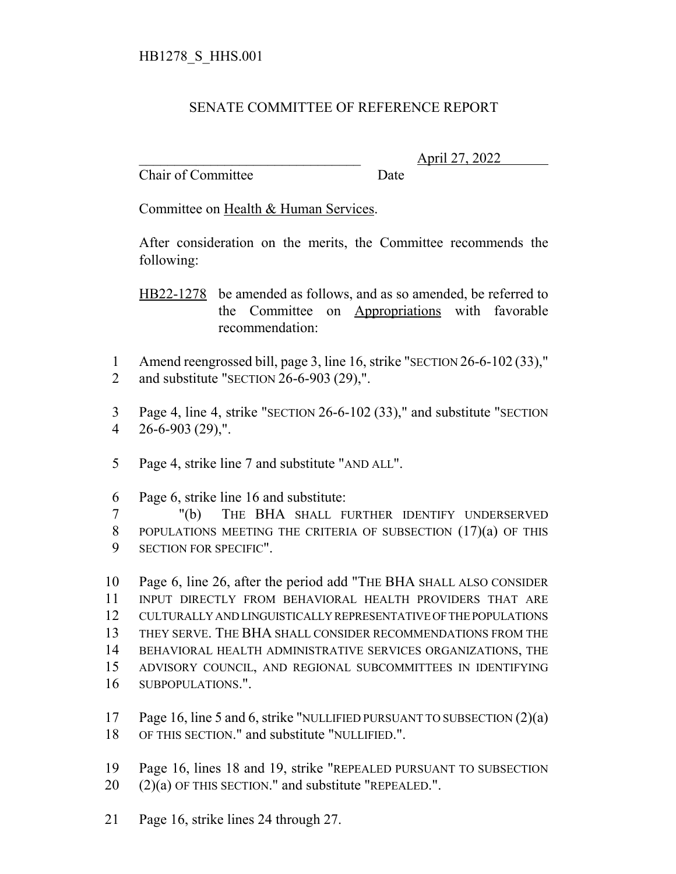## SENATE COMMITTEE OF REFERENCE REPORT

Chair of Committee Date

\_\_\_\_\_\_\_\_\_\_\_\_\_\_\_\_\_\_\_\_\_\_\_\_\_\_\_\_\_\_\_ April 27, 2022

Committee on Health & Human Services.

After consideration on the merits, the Committee recommends the following:

HB22-1278 be amended as follows, and as so amended, be referred to the Committee on Appropriations with favorable recommendation:

1 Amend reengrossed bill, page 3, line 16, strike "SECTION 26-6-102 (33)," 2 and substitute "SECTION 26-6-903 (29),".

3 Page 4, line 4, strike "SECTION 26-6-102 (33)," and substitute "SECTION 4 26-6-903 (29),".

- 5 Page 4, strike line 7 and substitute "AND ALL".
- 6 Page 6, strike line 16 and substitute:

7 "(b) THE BHA SHALL FURTHER IDENTIFY UNDERSERVED 8 POPULATIONS MEETING THE CRITERIA OF SUBSECTION (17)(a) OF THIS 9 SECTION FOR SPECIFIC".

 Page 6, line 26, after the period add "THE BHA SHALL ALSO CONSIDER INPUT DIRECTLY FROM BEHAVIORAL HEALTH PROVIDERS THAT ARE CULTURALLY AND LINGUISTICALLY REPRESENTATIVE OF THE POPULATIONS THEY SERVE. THE BHA SHALL CONSIDER RECOMMENDATIONS FROM THE BEHAVIORAL HEALTH ADMINISTRATIVE SERVICES ORGANIZATIONS, THE ADVISORY COUNCIL, AND REGIONAL SUBCOMMITTEES IN IDENTIFYING SUBPOPULATIONS.".

- 17 Page 16, line 5 and 6, strike "NULLIFIED PURSUANT TO SUBSECTION (2)(a) 18 OF THIS SECTION." and substitute "NULLIFIED.".
- 19 Page 16, lines 18 and 19, strike "REPEALED PURSUANT TO SUBSECTION
- $20$  (2)(a) OF THIS SECTION." and substitute "REPEALED.".
- 21 Page 16, strike lines 24 through 27.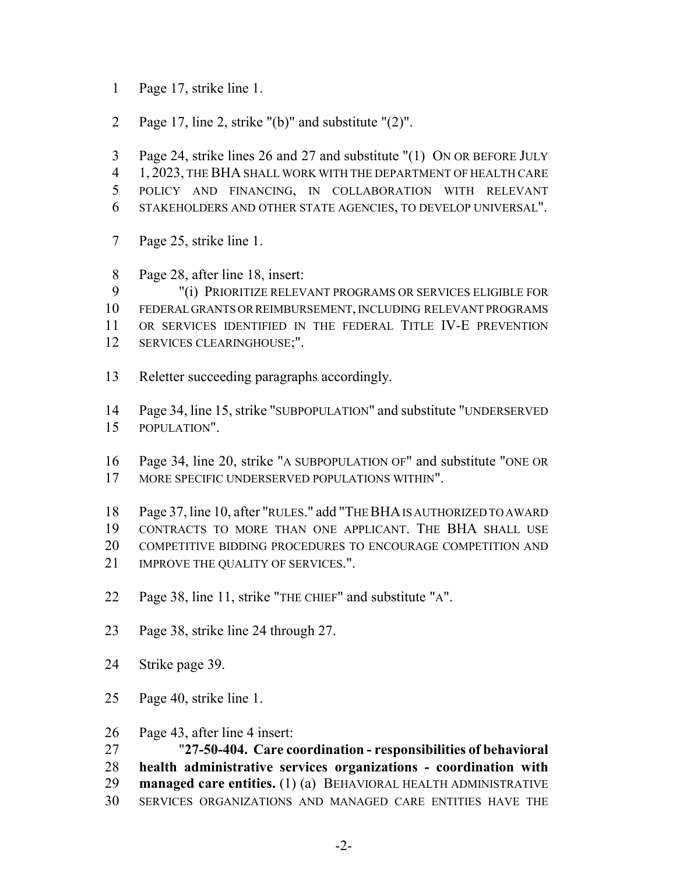- Page 17, strike line 1.
- Page 17, line 2, strike "(b)" and substitute "(2)".
- Page 24, strike lines 26 and 27 and substitute "(1) ON OR BEFORE JULY
- 1, 2023, THE BHA SHALL WORK WITH THE DEPARTMENT OF HEALTH CARE
- POLICY AND FINANCING, IN COLLABORATION WITH RELEVANT
- STAKEHOLDERS AND OTHER STATE AGENCIES, TO DEVELOP UNIVERSAL".
- Page 25, strike line 1.
- Page 28, after line 18, insert:
- "(i) PRIORITIZE RELEVANT PROGRAMS OR SERVICES ELIGIBLE FOR
- FEDERAL GRANTS OR REIMBURSEMENT, INCLUDING RELEVANT PROGRAMS
- OR SERVICES IDENTIFIED IN THE FEDERAL TITLE IV-E PREVENTION
- SERVICES CLEARINGHOUSE;".
- Reletter succeeding paragraphs accordingly.
- Page 34, line 15, strike "SUBPOPULATION" and substitute "UNDERSERVED POPULATION".
- Page 34, line 20, strike "A SUBPOPULATION OF" and substitute "ONE OR MORE SPECIFIC UNDERSERVED POPULATIONS WITHIN".
- Page 37, line 10, after "RULES." add "THE BHA IS AUTHORIZED TO AWARD CONTRACTS TO MORE THAN ONE APPLICANT. THE BHA SHALL USE COMPETITIVE BIDDING PROCEDURES TO ENCOURAGE COMPETITION AND
- 21 IMPROVE THE QUALITY OF SERVICES.".
- Page 38, line 11, strike "THE CHIEF" and substitute "A".
- Page 38, strike line 24 through 27.
- Strike page 39.
- Page 40, strike line 1.
- Page 43, after line 4 insert:
- "**27-50-404. Care coordination responsibilities of behavioral**
- **health administrative services organizations coordination with**
- **managed care entities.** (1) (a) BEHAVIORAL HEALTH ADMINISTRATIVE
- SERVICES ORGANIZATIONS AND MANAGED CARE ENTITIES HAVE THE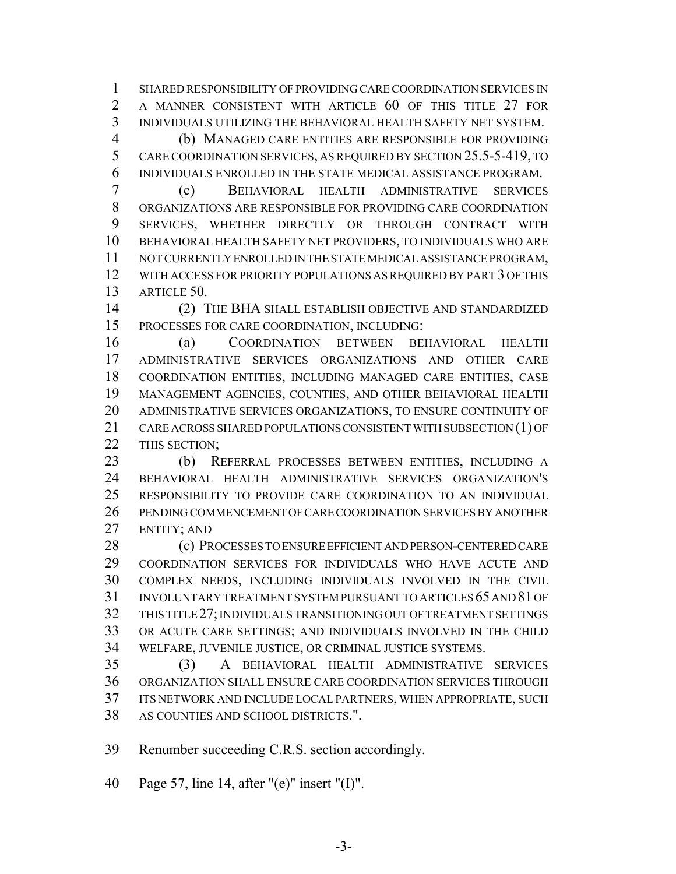SHARED RESPONSIBILITY OF PROVIDING CARE COORDINATION SERVICES IN A MANNER CONSISTENT WITH ARTICLE 60 OF THIS TITLE 27 FOR INDIVIDUALS UTILIZING THE BEHAVIORAL HEALTH SAFETY NET SYSTEM.

 (b) MANAGED CARE ENTITIES ARE RESPONSIBLE FOR PROVIDING CARE COORDINATION SERVICES, AS REQUIRED BY SECTION 25.5-5-419, TO INDIVIDUALS ENROLLED IN THE STATE MEDICAL ASSISTANCE PROGRAM.

 (c) BEHAVIORAL HEALTH ADMINISTRATIVE SERVICES ORGANIZATIONS ARE RESPONSIBLE FOR PROVIDING CARE COORDINATION SERVICES, WHETHER DIRECTLY OR THROUGH CONTRACT WITH BEHAVIORAL HEALTH SAFETY NET PROVIDERS, TO INDIVIDUALS WHO ARE NOT CURRENTLY ENROLLED IN THE STATE MEDICAL ASSISTANCE PROGRAM, WITH ACCESS FOR PRIORITY POPULATIONS AS REQUIRED BY PART 3 OF THIS ARTICLE 50.

 (2) THE BHA SHALL ESTABLISH OBJECTIVE AND STANDARDIZED PROCESSES FOR CARE COORDINATION, INCLUDING:

 (a) COORDINATION BETWEEN BEHAVIORAL HEALTH ADMINISTRATIVE SERVICES ORGANIZATIONS AND OTHER CARE COORDINATION ENTITIES, INCLUDING MANAGED CARE ENTITIES, CASE MANAGEMENT AGENCIES, COUNTIES, AND OTHER BEHAVIORAL HEALTH ADMINISTRATIVE SERVICES ORGANIZATIONS, TO ENSURE CONTINUITY OF CARE ACROSS SHARED POPULATIONS CONSISTENT WITH SUBSECTION (1) OF 22 THIS SECTION;

 (b) REFERRAL PROCESSES BETWEEN ENTITIES, INCLUDING A BEHAVIORAL HEALTH ADMINISTRATIVE SERVICES ORGANIZATION'S RESPONSIBILITY TO PROVIDE CARE COORDINATION TO AN INDIVIDUAL PENDING COMMENCEMENT OF CARE COORDINATION SERVICES BY ANOTHER ENTITY; AND

28 (c) PROCESSES TO ENSURE EFFICIENT AND PERSON-CENTERED CARE COORDINATION SERVICES FOR INDIVIDUALS WHO HAVE ACUTE AND COMPLEX NEEDS, INCLUDING INDIVIDUALS INVOLVED IN THE CIVIL INVOLUNTARY TREATMENT SYSTEM PURSUANT TO ARTICLES 65 AND 81 OF THIS TITLE 27; INDIVIDUALS TRANSITIONING OUT OF TREATMENT SETTINGS OR ACUTE CARE SETTINGS; AND INDIVIDUALS INVOLVED IN THE CHILD WELFARE, JUVENILE JUSTICE, OR CRIMINAL JUSTICE SYSTEMS.

 (3) A BEHAVIORAL HEALTH ADMINISTRATIVE SERVICES ORGANIZATION SHALL ENSURE CARE COORDINATION SERVICES THROUGH ITS NETWORK AND INCLUDE LOCAL PARTNERS, WHEN APPROPRIATE, SUCH AS COUNTIES AND SCHOOL DISTRICTS.".

Renumber succeeding C.R.S. section accordingly.

Page 57, line 14, after "(e)" insert "(I)".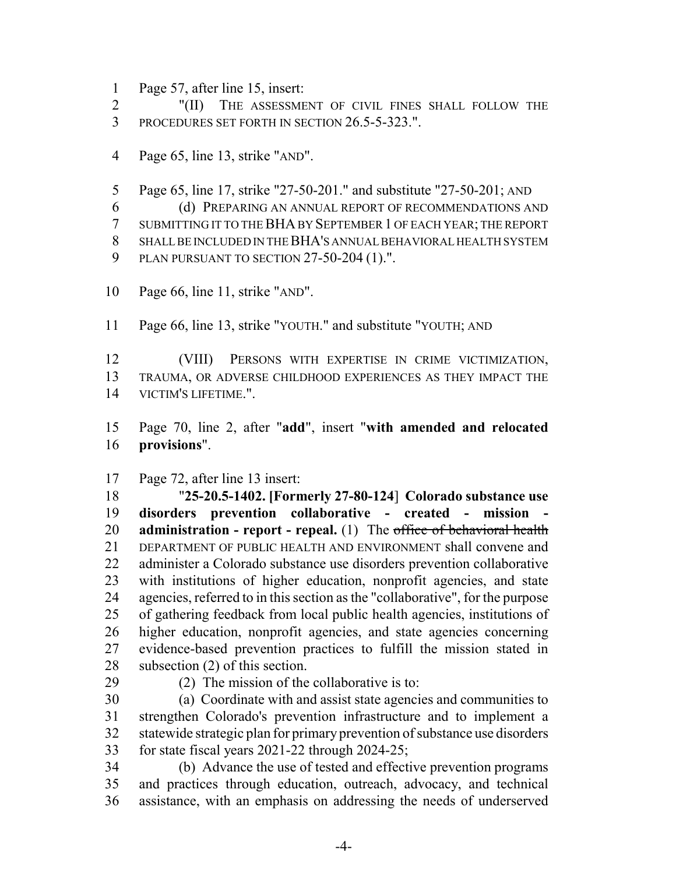Page 57, after line 15, insert:

 "(II) THE ASSESSMENT OF CIVIL FINES SHALL FOLLOW THE PROCEDURES SET FORTH IN SECTION 26.5-5-323.".

- Page 65, line 13, strike "AND".
- Page 65, line 17, strike "27-50-201." and substitute "27-50-201; AND

(d) PREPARING AN ANNUAL REPORT OF RECOMMENDATIONS AND

 SUBMITTING IT TO THE BHA BY SEPTEMBER 1 OF EACH YEAR; THE REPORT SHALL BE INCLUDED IN THE BHA'S ANNUAL BEHAVIORAL HEALTH SYSTEM

- PLAN PURSUANT TO SECTION 27-50-204 (1).".
- Page 66, line 11, strike "AND".
- Page 66, line 13, strike "YOUTH." and substitute "YOUTH; AND

 (VIII) PERSONS WITH EXPERTISE IN CRIME VICTIMIZATION, TRAUMA, OR ADVERSE CHILDHOOD EXPERIENCES AS THEY IMPACT THE VICTIM'S LIFETIME.".

 Page 70, line 2, after "**add**", insert "**with amended and relocated provisions**".

Page 72, after line 13 insert:

 "**25-20.5-1402. [Formerly 27-80-124**] **Colorado substance use disorders prevention collaborative - created - mission - administration - report - repeal.** (1) The office of behavioral health DEPARTMENT OF PUBLIC HEALTH AND ENVIRONMENT shall convene and administer a Colorado substance use disorders prevention collaborative with institutions of higher education, nonprofit agencies, and state agencies, referred to in this section as the "collaborative", for the purpose of gathering feedback from local public health agencies, institutions of higher education, nonprofit agencies, and state agencies concerning evidence-based prevention practices to fulfill the mission stated in subsection (2) of this section.

(2) The mission of the collaborative is to:

 (a) Coordinate with and assist state agencies and communities to strengthen Colorado's prevention infrastructure and to implement a statewide strategic plan for primary prevention of substance use disorders for state fiscal years 2021-22 through 2024-25;

 (b) Advance the use of tested and effective prevention programs and practices through education, outreach, advocacy, and technical assistance, with an emphasis on addressing the needs of underserved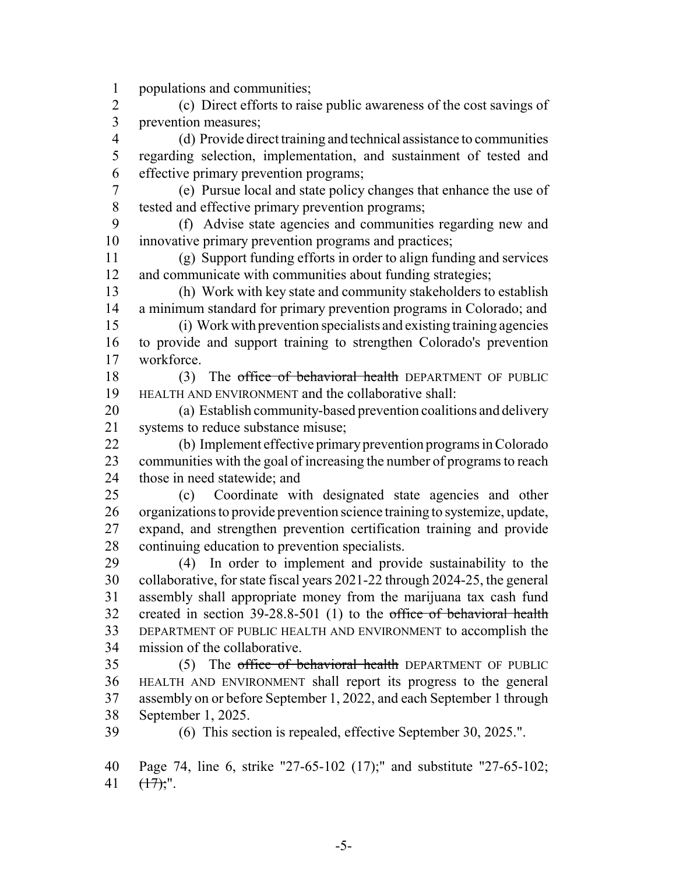populations and communities;

 (c) Direct efforts to raise public awareness of the cost savings of prevention measures;

 (d) Provide direct training and technical assistance to communities regarding selection, implementation, and sustainment of tested and effective primary prevention programs;

 (e) Pursue local and state policy changes that enhance the use of tested and effective primary prevention programs;

 (f) Advise state agencies and communities regarding new and innovative primary prevention programs and practices;

 (g) Support funding efforts in order to align funding and services and communicate with communities about funding strategies;

 (h) Work with key state and community stakeholders to establish a minimum standard for primary prevention programs in Colorado; and

 (i) Work with prevention specialists and existing training agencies to provide and support training to strengthen Colorado's prevention workforce.

18 (3) The office of behavioral health DEPARTMENT OF PUBLIC HEALTH AND ENVIRONMENT and the collaborative shall:

 (a) Establish community-based prevention coalitions and delivery systems to reduce substance misuse;

 (b) Implement effective primary prevention programs in Colorado communities with the goal of increasing the number of programs to reach those in need statewide; and

 (c) Coordinate with designated state agencies and other organizations to provide prevention science training to systemize, update, expand, and strengthen prevention certification training and provide continuing education to prevention specialists.

 (4) In order to implement and provide sustainability to the collaborative, for state fiscal years 2021-22 through 2024-25, the general assembly shall appropriate money from the marijuana tax cash fund created in section 39-28.8-501 (1) to the office of behavioral health DEPARTMENT OF PUBLIC HEALTH AND ENVIRONMENT to accomplish the mission of the collaborative.

35 (5) The office of behavioral health DEPARTMENT OF PUBLIC HEALTH AND ENVIRONMENT shall report its progress to the general assembly on or before September 1, 2022, and each September 1 through September 1, 2025.

(6) This section is repealed, effective September 30, 2025.".

 Page 74, line 6, strike "27-65-102 (17);" and substitute "27-65-102; 41  $(\frac{17}{17})$ ;".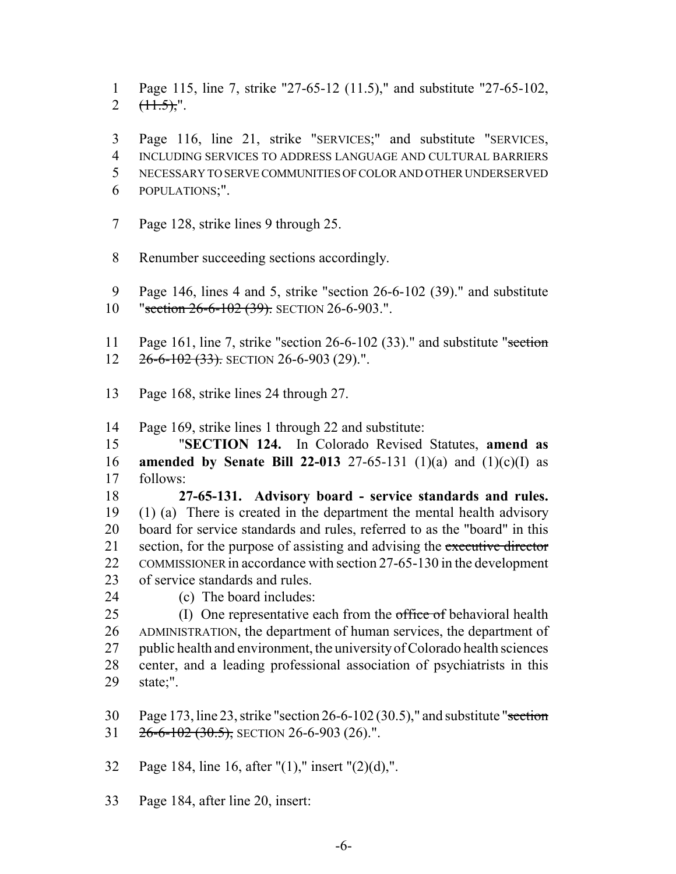Page 115, line 7, strike "27-65-12 (11.5)," and substitute "27-65-102, 2  $(\pm 1.5)$ ,".

 Page 116, line 21, strike "SERVICES;" and substitute "SERVICES, INCLUDING SERVICES TO ADDRESS LANGUAGE AND CULTURAL BARRIERS NECESSARY TO SERVE COMMUNITIES OF COLOR AND OTHER UNDERSERVED POPULATIONS;".

- Page 128, strike lines 9 through 25.
- Renumber succeeding sections accordingly.
- Page 146, lines 4 and 5, strike "section 26-6-102 (39)." and substitute
- 10 "section 26-6-102 (39). SECTION 26-6-903.".
- 11 Page 161, line 7, strike "section 26-6-102 (33)." and substitute "section 12 26-6-102 (33). SECTION 26-6-903 (29).".
- Page 168, strike lines 24 through 27.
- Page 169, strike lines 1 through 22 and substitute:

 "**SECTION 124.** In Colorado Revised Statutes, **amend as amended by Senate Bill 22-013** 27-65-131 (1)(a) and (1)(c)(I) as follows:

 **27-65-131. Advisory board - service standards and rules.** (1) (a) There is created in the department the mental health advisory board for service standards and rules, referred to as the "board" in this 21 section, for the purpose of assisting and advising the executive director COMMISSIONER in accordance with section 27-65-130 in the development of service standards and rules.

(c) The board includes:

25 (I) One representative each from the office of behavioral health ADMINISTRATION, the department of human services, the department of public health and environment, the university of Colorado health sciences center, and a leading professional association of psychiatrists in this state;".

30 Page 173, line 23, strike "section  $26-6-102(30.5)$ ," and substitute "section 31  $26-6-102(30.5)$ , SECTION 26-6-903 (26).".

Page 184, line 16, after "(1)," insert "(2)(d),".

Page 184, after line 20, insert: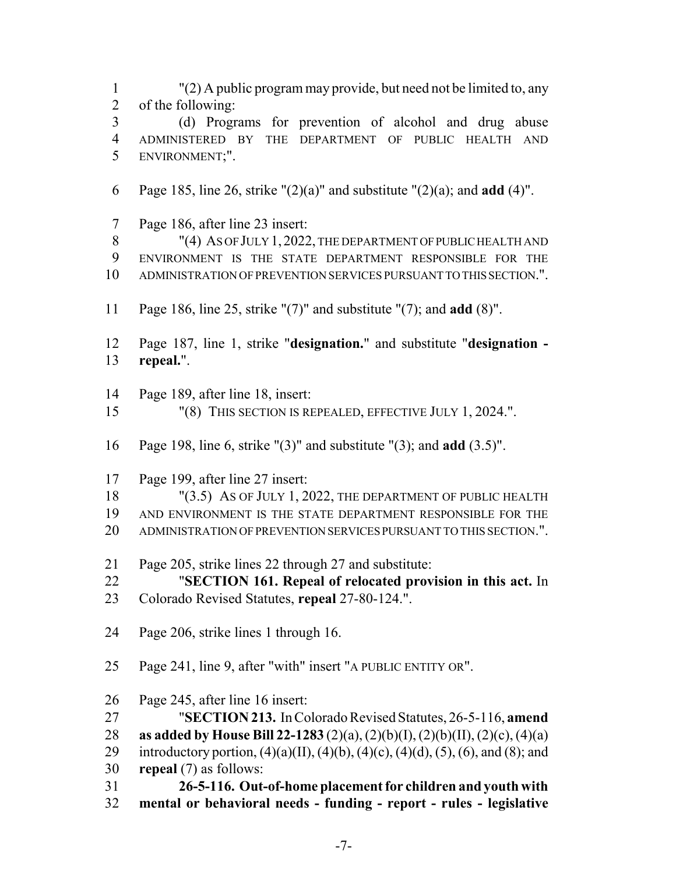"(2) A public program may provide, but need not be limited to, any of the following: (d) Programs for prevention of alcohol and drug abuse ADMINISTERED BY THE DEPARTMENT OF PUBLIC HEALTH AND ENVIRONMENT;". Page 185, line 26, strike "(2)(a)" and substitute "(2)(a); and **add** (4)". Page 186, after line 23 insert: 8 "(4) AS OF JULY 1, 2022, THE DEPARTMENT OF PUBLIC HEALTH AND ENVIRONMENT IS THE STATE DEPARTMENT RESPONSIBLE FOR THE ADMINISTRATION OF PREVENTION SERVICES PURSUANT TO THIS SECTION.". Page 186, line 25, strike "(7)" and substitute "(7); and **add** (8)". Page 187, line 1, strike "**designation.**" and substitute "**designation - repeal.**". Page 189, after line 18, insert: "(8) THIS SECTION IS REPEALED, EFFECTIVE JULY 1, 2024.". Page 198, line 6, strike "(3)" and substitute "(3); and **add** (3.5)". Page 199, after line 27 insert: 18 "(3.5) AS OF JULY 1, 2022, THE DEPARTMENT OF PUBLIC HEALTH AND ENVIRONMENT IS THE STATE DEPARTMENT RESPONSIBLE FOR THE ADMINISTRATION OF PREVENTION SERVICES PURSUANT TO THIS SECTION.". Page 205, strike lines 22 through 27 and substitute: "**SECTION 161. Repeal of relocated provision in this act.** In Colorado Revised Statutes, **repeal** 27-80-124.". Page 206, strike lines 1 through 16. Page 241, line 9, after "with" insert "A PUBLIC ENTITY OR". Page 245, after line 16 insert: "**SECTION 213.** In Colorado Revised Statutes, 26-5-116, **amend as added by House Bill 22-1283** (2)(a), (2)(b)(I), (2)(b)(II), (2)(c), (4)(a) 29 introductory portion,  $(4)(a)(II)$ ,  $(4)(b)$ ,  $(4)(c)$ ,  $(4)(d)$ ,  $(5)$ ,  $(6)$ , and  $(8)$ ; and **repeal** (7) as follows: **26-5-116. Out-of-home placement for children and youth with mental or behavioral needs - funding - report - rules - legislative**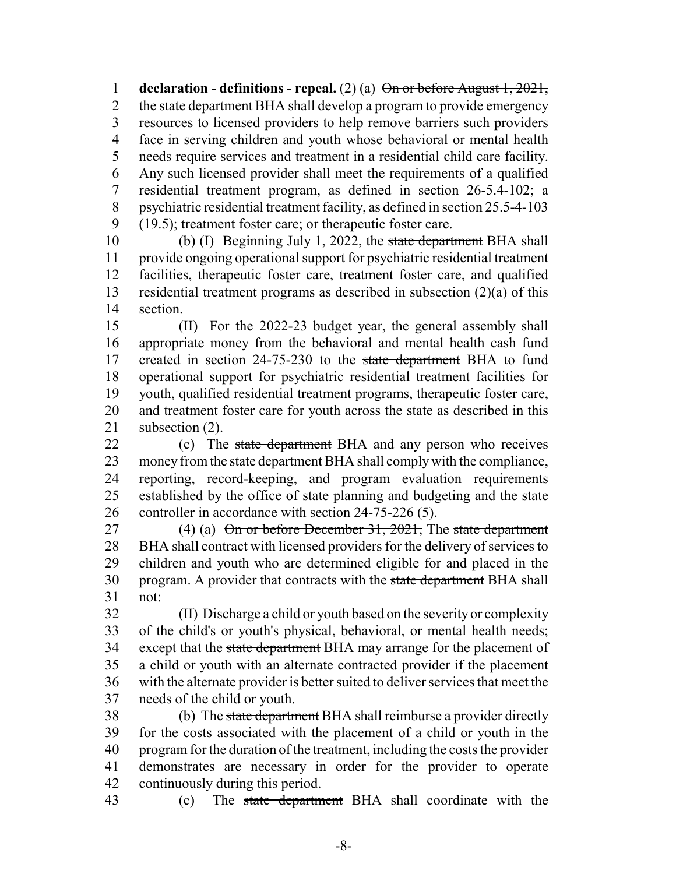**declaration - definitions - repeal.** (2) (a) On or before August 1, 2021, 2 the state department BHA shall develop a program to provide emergency resources to licensed providers to help remove barriers such providers face in serving children and youth whose behavioral or mental health needs require services and treatment in a residential child care facility. Any such licensed provider shall meet the requirements of a qualified residential treatment program, as defined in section 26-5.4-102; a psychiatric residential treatment facility, as defined in section 25.5-4-103 (19.5); treatment foster care; or therapeutic foster care.

10 (b) (I) Beginning July 1, 2022, the state department BHA shall provide ongoing operational support for psychiatric residential treatment facilities, therapeutic foster care, treatment foster care, and qualified residential treatment programs as described in subsection (2)(a) of this section.

 (II) For the 2022-23 budget year, the general assembly shall appropriate money from the behavioral and mental health cash fund 17 created in section 24-75-230 to the state department BHA to fund operational support for psychiatric residential treatment facilities for youth, qualified residential treatment programs, therapeutic foster care, and treatment foster care for youth across the state as described in this subsection (2).

22 (c) The state department BHA and any person who receives 23 money from the state department BHA shall comply with the compliance, reporting, record-keeping, and program evaluation requirements established by the office of state planning and budgeting and the state controller in accordance with section 24-75-226 (5).

27 (4) (a) On or before December 31, 2021, The state department BHA shall contract with licensed providers for the delivery of services to children and youth who are determined eligible for and placed in the 30 program. A provider that contracts with the state department BHA shall not:

 (II) Discharge a child or youth based on the severity or complexity of the child's or youth's physical, behavioral, or mental health needs; 34 except that the state department BHA may arrange for the placement of a child or youth with an alternate contracted provider if the placement with the alternate provider is better suited to deliver services that meet the needs of the child or youth.

38 (b) The state department BHA shall reimburse a provider directly for the costs associated with the placement of a child or youth in the program for the duration of the treatment, including the costs the provider demonstrates are necessary in order for the provider to operate continuously during this period.

43 (c) The state department BHA shall coordinate with the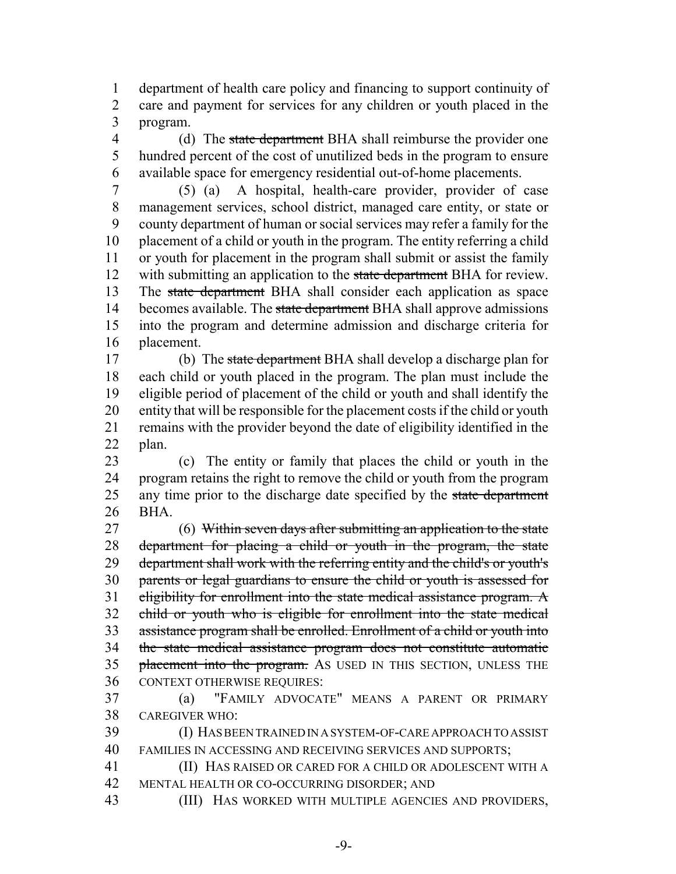department of health care policy and financing to support continuity of care and payment for services for any children or youth placed in the program.

4 (d) The state department BHA shall reimburse the provider one hundred percent of the cost of unutilized beds in the program to ensure available space for emergency residential out-of-home placements.

 (5) (a) A hospital, health-care provider, provider of case management services, school district, managed care entity, or state or county department of human or social services may refer a family for the placement of a child or youth in the program. The entity referring a child or youth for placement in the program shall submit or assist the family 12 with submitting an application to the state department BHA for review. 13 The state department BHA shall consider each application as space 14 becomes available. The state department BHA shall approve admissions into the program and determine admission and discharge criteria for placement.

 (b) The state department BHA shall develop a discharge plan for each child or youth placed in the program. The plan must include the eligible period of placement of the child or youth and shall identify the entity that will be responsible for the placement costs if the child or youth remains with the provider beyond the date of eligibility identified in the plan.

 (c) The entity or family that places the child or youth in the program retains the right to remove the child or youth from the program 25 any time prior to the discharge date specified by the state department BHA.

27 (6) Within seven days after submitting an application to the state 28 department for placing a child or youth in the program, the state department shall work with the referring entity and the child's or youth's parents or legal guardians to ensure the child or youth is assessed for 31 eligibility for enrollment into the state medical assistance program. A child or youth who is eligible for enrollment into the state medical assistance program shall be enrolled. Enrollment of a child or youth into the state medical assistance program does not constitute automatic 35 placement into the program. As USED IN THIS SECTION, UNLESS THE CONTEXT OTHERWISE REQUIRES:

 (a) "FAMILY ADVOCATE" MEANS A PARENT OR PRIMARY CAREGIVER WHO:

 (I) HAS BEEN TRAINED IN A SYSTEM-OF-CARE APPROACH TO ASSIST FAMILIES IN ACCESSING AND RECEIVING SERVICES AND SUPPORTS;

 (II) HAS RAISED OR CARED FOR A CHILD OR ADOLESCENT WITH A MENTAL HEALTH OR CO-OCCURRING DISORDER; AND

(III) HAS WORKED WITH MULTIPLE AGENCIES AND PROVIDERS,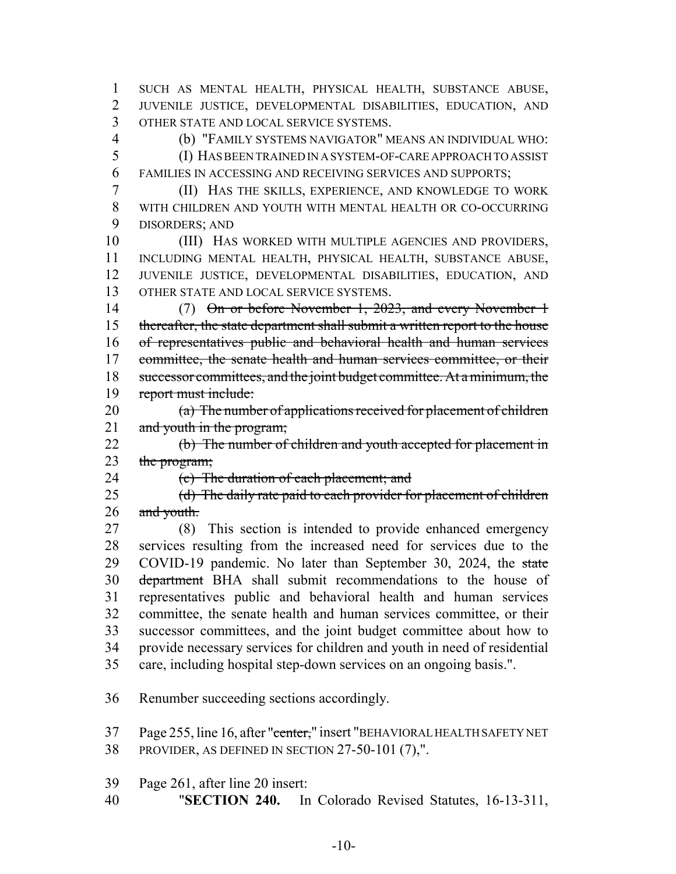SUCH AS MENTAL HEALTH, PHYSICAL HEALTH, SUBSTANCE ABUSE, JUVENILE JUSTICE, DEVELOPMENTAL DISABILITIES, EDUCATION, AND OTHER STATE AND LOCAL SERVICE SYSTEMS.

(b) "FAMILY SYSTEMS NAVIGATOR" MEANS AN INDIVIDUAL WHO:

 (I) HAS BEEN TRAINED IN A SYSTEM-OF-CARE APPROACH TO ASSIST FAMILIES IN ACCESSING AND RECEIVING SERVICES AND SUPPORTS;

 (II) HAS THE SKILLS, EXPERIENCE, AND KNOWLEDGE TO WORK WITH CHILDREN AND YOUTH WITH MENTAL HEALTH OR CO-OCCURRING DISORDERS; AND

 (III) HAS WORKED WITH MULTIPLE AGENCIES AND PROVIDERS, INCLUDING MENTAL HEALTH, PHYSICAL HEALTH, SUBSTANCE ABUSE, JUVENILE JUSTICE, DEVELOPMENTAL DISABILITIES, EDUCATION, AND OTHER STATE AND LOCAL SERVICE SYSTEMS.

14 (7) On or before November 1, 2023, and every November 1 thereafter, the state department shall submit a written report to the house of representatives public and behavioral health and human services 17 committee, the senate health and human services committee, or their 18 successor committees, and the joint budget committee. At a minimum, the report must include:

 (a) The number of applications received for placement of children 21 and youth in the program;

 (b) The number of children and youth accepted for placement in 23 the program;

24 (c) The duration of each placement; and

25 (d) The daily rate paid to each provider for placement of children 26 and youth.

 (8) This section is intended to provide enhanced emergency services resulting from the increased need for services due to the 29 COVID-19 pandemic. No later than September 30, 2024, the state 30 department BHA shall submit recommendations to the house of representatives public and behavioral health and human services committee, the senate health and human services committee, or their successor committees, and the joint budget committee about how to provide necessary services for children and youth in need of residential care, including hospital step-down services on an ongoing basis.".

Renumber succeeding sections accordingly.

37 Page 255, line 16, after "center," insert "BEHAVIORAL HEALTH SAFETY NET PROVIDER, AS DEFINED IN SECTION 27-50-101 (7),".

Page 261, after line 20 insert:

"**SECTION 240.** In Colorado Revised Statutes, 16-13-311,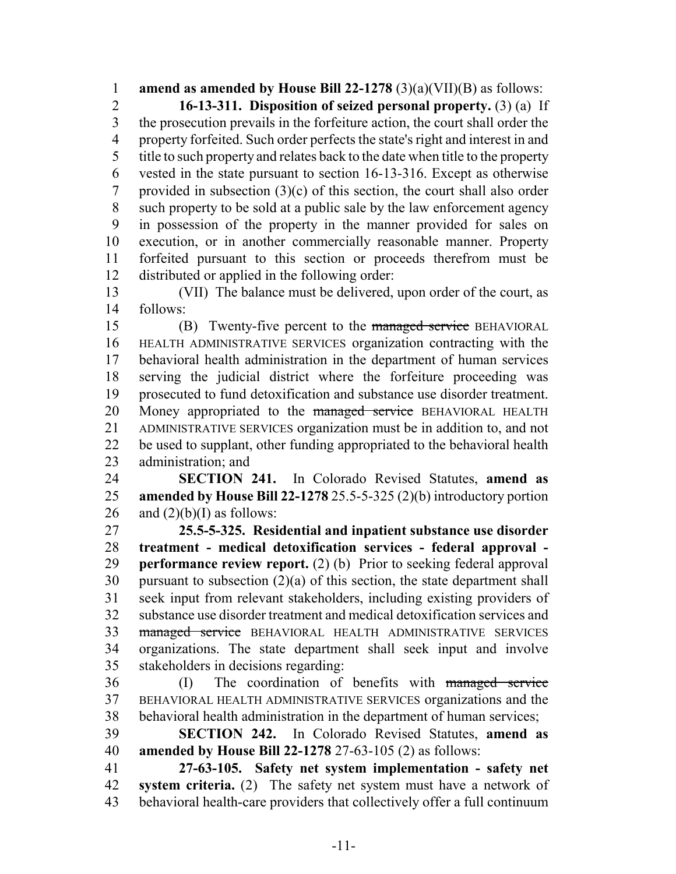**amend as amended by House Bill 22-1278** (3)(a)(VII)(B) as follows:

 **16-13-311. Disposition of seized personal property.** (3) (a) If the prosecution prevails in the forfeiture action, the court shall order the property forfeited. Such order perfects the state's right and interest in and title to such property and relates back to the date when title to the property vested in the state pursuant to section 16-13-316. Except as otherwise 7 provided in subsection  $(3)(c)$  of this section, the court shall also order such property to be sold at a public sale by the law enforcement agency in possession of the property in the manner provided for sales on execution, or in another commercially reasonable manner. Property forfeited pursuant to this section or proceeds therefrom must be distributed or applied in the following order:

 (VII) The balance must be delivered, upon order of the court, as follows:

15 (B) Twenty-five percent to the managed service BEHAVIORAL HEALTH ADMINISTRATIVE SERVICES organization contracting with the behavioral health administration in the department of human services serving the judicial district where the forfeiture proceeding was prosecuted to fund detoxification and substance use disorder treatment. 20 Money appropriated to the managed service BEHAVIORAL HEALTH ADMINISTRATIVE SERVICES organization must be in addition to, and not be used to supplant, other funding appropriated to the behavioral health administration; and

 **SECTION 241.** In Colorado Revised Statutes, **amend as amended by House Bill 22-1278** 25.5-5-325 (2)(b) introductory portion 26 and  $(2)(b)(I)$  as follows:

 **25.5-5-325. Residential and inpatient substance use disorder treatment - medical detoxification services - federal approval - performance review report.** (2) (b) Prior to seeking federal approval pursuant to subsection (2)(a) of this section, the state department shall seek input from relevant stakeholders, including existing providers of substance use disorder treatment and medical detoxification services and 33 managed service BEHAVIORAL HEALTH ADMINISTRATIVE SERVICES organizations. The state department shall seek input and involve stakeholders in decisions regarding:

 (I) The coordination of benefits with managed service BEHAVIORAL HEALTH ADMINISTRATIVE SERVICES organizations and the behavioral health administration in the department of human services;

 **SECTION 242.** In Colorado Revised Statutes, **amend as amended by House Bill 22-1278** 27-63-105 (2) as follows:

 **27-63-105. Safety net system implementation - safety net system criteria.** (2) The safety net system must have a network of behavioral health-care providers that collectively offer a full continuum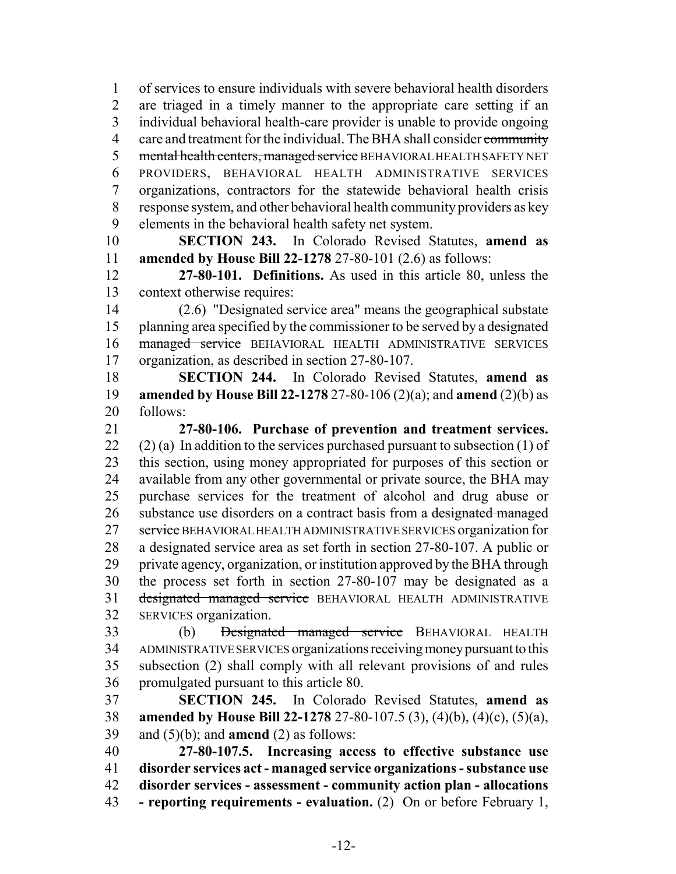of services to ensure individuals with severe behavioral health disorders are triaged in a timely manner to the appropriate care setting if an individual behavioral health-care provider is unable to provide ongoing 4 care and treatment for the individual. The BHA shall consider community 5 mental health centers, managed service BEHAVIORAL HEALTH SAFETY NET PROVIDERS, BEHAVIORAL HEALTH ADMINISTRATIVE SERVICES organizations, contractors for the statewide behavioral health crisis response system, and other behavioral health community providers as key elements in the behavioral health safety net system.

 **SECTION 243.** In Colorado Revised Statutes, **amend as amended by House Bill 22-1278** 27-80-101 (2.6) as follows:

 **27-80-101. Definitions.** As used in this article 80, unless the context otherwise requires:

 (2.6) "Designated service area" means the geographical substate 15 planning area specified by the commissioner to be served by a designated 16 managed service BEHAVIORAL HEALTH ADMINISTRATIVE SERVICES organization, as described in section 27-80-107.

 **SECTION 244.** In Colorado Revised Statutes, **amend as amended by House Bill 22-1278** 27-80-106 (2)(a); and **amend** (2)(b) as follows:

 **27-80-106. Purchase of prevention and treatment services.** 22 (2) (a) In addition to the services purchased pursuant to subsection  $(1)$  of this section, using money appropriated for purposes of this section or available from any other governmental or private source, the BHA may purchase services for the treatment of alcohol and drug abuse or 26 substance use disorders on a contract basis from a designated managed 27 service BEHAVIORAL HEALTH ADMINISTRATIVE SERVICES organization for a designated service area as set forth in section 27-80-107. A public or private agency, organization, or institution approved by the BHA through the process set forth in section 27-80-107 may be designated as a 31 designated managed service BEHAVIORAL HEALTH ADMINISTRATIVE SERVICES organization.

33 (b) <del>Designated managed service</del> BEHAVIORAL HEALTH ADMINISTRATIVE SERVICES organizations receiving money pursuant to this subsection (2) shall comply with all relevant provisions of and rules promulgated pursuant to this article 80.

 **SECTION 245.** In Colorado Revised Statutes, **amend as amended by House Bill 22-1278** 27-80-107.5 (3), (4)(b), (4)(c), (5)(a), and (5)(b); and **amend** (2) as follows:

 **27-80-107.5. Increasing access to effective substance use disorder services act - managed service organizations - substance use disorder services - assessment - community action plan - allocations - reporting requirements - evaluation.** (2) On or before February 1,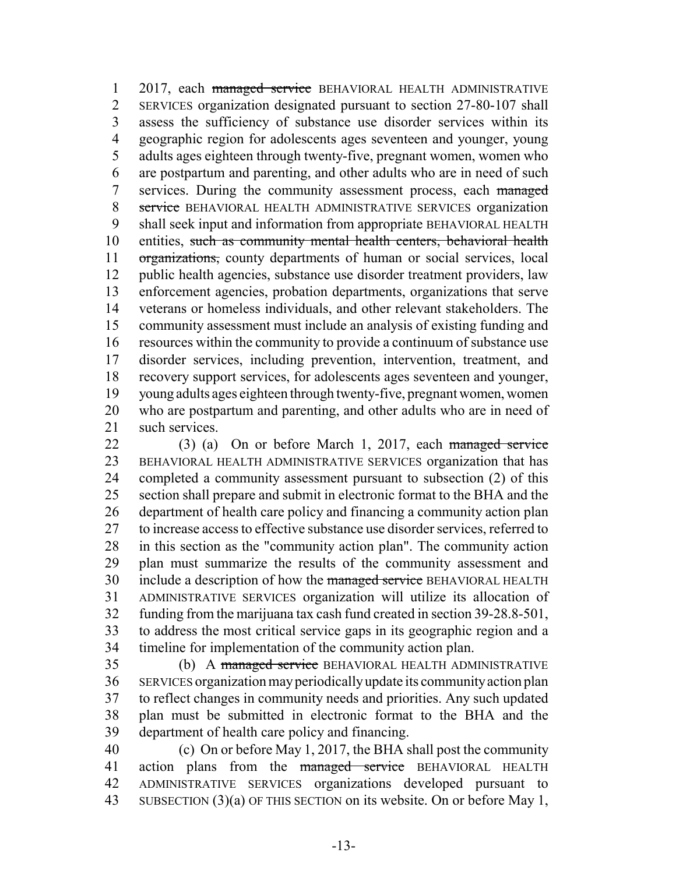1 2017, each managed service BEHAVIORAL HEALTH ADMINISTRATIVE SERVICES organization designated pursuant to section 27-80-107 shall assess the sufficiency of substance use disorder services within its geographic region for adolescents ages seventeen and younger, young adults ages eighteen through twenty-five, pregnant women, women who are postpartum and parenting, and other adults who are in need of such 7 services. During the community assessment process, each managed 8 service BEHAVIORAL HEALTH ADMINISTRATIVE SERVICES organization shall seek input and information from appropriate BEHAVIORAL HEALTH 10 entities, such as community mental health centers, behavioral health 11 organizations, county departments of human or social services, local public health agencies, substance use disorder treatment providers, law enforcement agencies, probation departments, organizations that serve veterans or homeless individuals, and other relevant stakeholders. The community assessment must include an analysis of existing funding and resources within the community to provide a continuum of substance use disorder services, including prevention, intervention, treatment, and recovery support services, for adolescents ages seventeen and younger, young adults ages eighteen through twenty-five, pregnant women, women who are postpartum and parenting, and other adults who are in need of 21 such services.

 (3) (a) On or before March 1, 2017, each managed service BEHAVIORAL HEALTH ADMINISTRATIVE SERVICES organization that has completed a community assessment pursuant to subsection (2) of this section shall prepare and submit in electronic format to the BHA and the department of health care policy and financing a community action plan to increase access to effective substance use disorder services, referred to in this section as the "community action plan". The community action plan must summarize the results of the community assessment and 30 include a description of how the managed service BEHAVIORAL HEALTH ADMINISTRATIVE SERVICES organization will utilize its allocation of funding from the marijuana tax cash fund created in section 39-28.8-501, to address the most critical service gaps in its geographic region and a timeline for implementation of the community action plan.

35 (b) A managed service BEHAVIORAL HEALTH ADMINISTRATIVE SERVICES organization may periodically update its community action plan to reflect changes in community needs and priorities. Any such updated plan must be submitted in electronic format to the BHA and the department of health care policy and financing.

 (c) On or before May 1, 2017, the BHA shall post the community 41 action plans from the managed service BEHAVIORAL HEALTH ADMINISTRATIVE SERVICES organizations developed pursuant to 43 SUBSECTION (3)(a) OF THIS SECTION on its website. On or before May 1,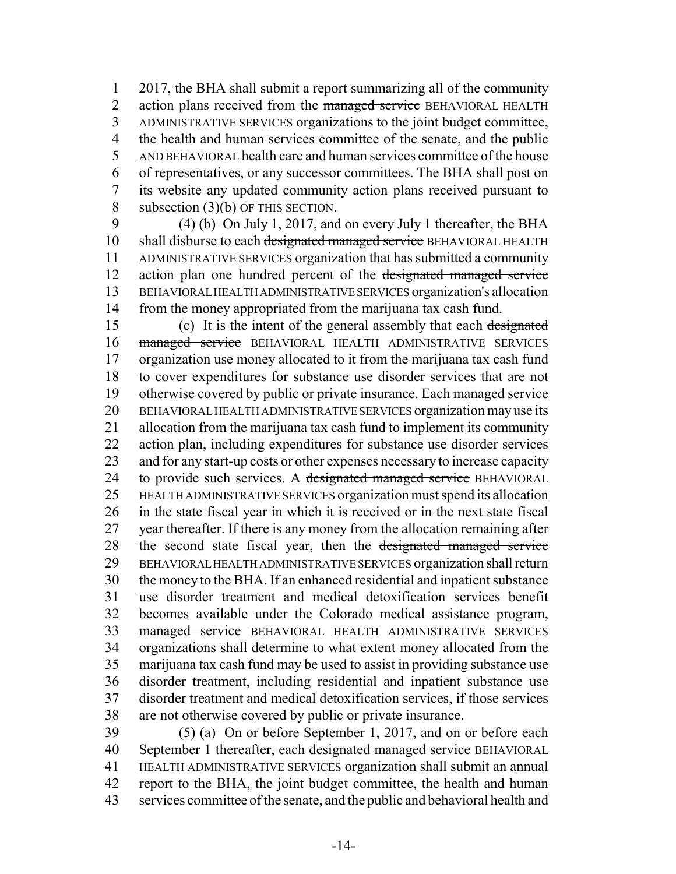2017, the BHA shall submit a report summarizing all of the community 2 action plans received from the managed service BEHAVIORAL HEALTH ADMINISTRATIVE SERVICES organizations to the joint budget committee, the health and human services committee of the senate, and the public 5 AND BEHAVIORAL health care and human services committee of the house of representatives, or any successor committees. The BHA shall post on its website any updated community action plans received pursuant to 8 subsection (3)(b) OF THIS SECTION.

 (4) (b) On July 1, 2017, and on every July 1 thereafter, the BHA 10 shall disburse to each designated managed service BEHAVIORAL HEALTH ADMINISTRATIVE SERVICES organization that has submitted a community 12 action plan one hundred percent of the designated managed service BEHAVIORAL HEALTH ADMINISTRATIVE SERVICES organization's allocation from the money appropriated from the marijuana tax cash fund.

15 (c) It is the intent of the general assembly that each designated 16 managed service BEHAVIORAL HEALTH ADMINISTRATIVE SERVICES organization use money allocated to it from the marijuana tax cash fund to cover expenditures for substance use disorder services that are not 19 otherwise covered by public or private insurance. Each managed service BEHAVIORAL HEALTH ADMINISTRATIVE SERVICES organization may use its allocation from the marijuana tax cash fund to implement its community action plan, including expenditures for substance use disorder services and for any start-up costs or other expenses necessary to increase capacity 24 to provide such services. A designated managed service BEHAVIORAL HEALTH ADMINISTRATIVE SERVICES organization must spend its allocation in the state fiscal year in which it is received or in the next state fiscal year thereafter. If there is any money from the allocation remaining after the second state fiscal year, then the designated managed service BEHAVIORAL HEALTH ADMINISTRATIVE SERVICES organization shall return the money to the BHA. If an enhanced residential and inpatient substance use disorder treatment and medical detoxification services benefit becomes available under the Colorado medical assistance program, 33 managed service BEHAVIORAL HEALTH ADMINISTRATIVE SERVICES organizations shall determine to what extent money allocated from the marijuana tax cash fund may be used to assist in providing substance use disorder treatment, including residential and inpatient substance use disorder treatment and medical detoxification services, if those services are not otherwise covered by public or private insurance.

 (5) (a) On or before September 1, 2017, and on or before each 40 September 1 thereafter, each designated managed service BEHAVIORAL HEALTH ADMINISTRATIVE SERVICES organization shall submit an annual report to the BHA, the joint budget committee, the health and human services committee of the senate, and the public and behavioral health and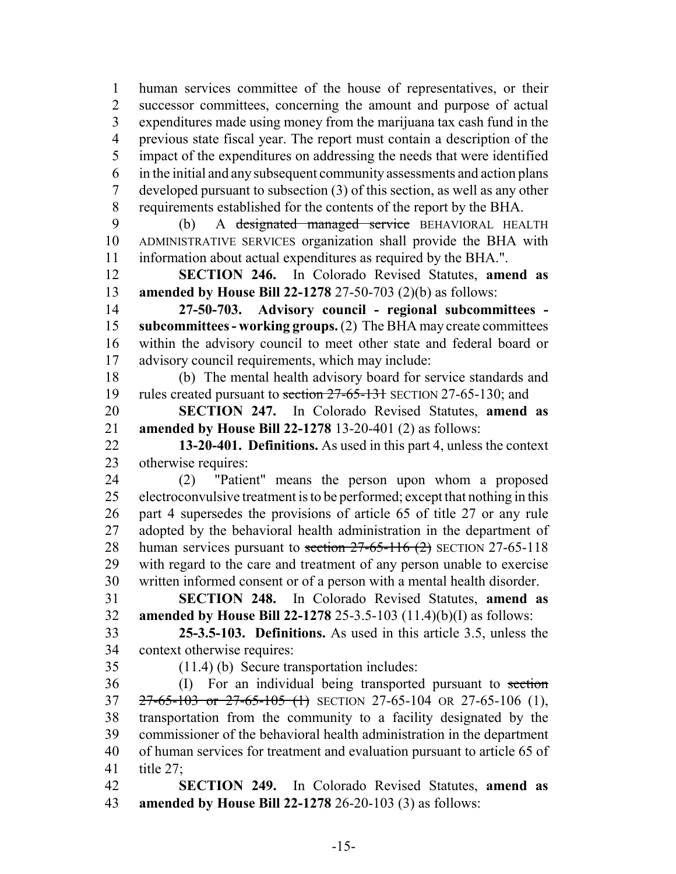human services committee of the house of representatives, or their successor committees, concerning the amount and purpose of actual expenditures made using money from the marijuana tax cash fund in the previous state fiscal year. The report must contain a description of the impact of the expenditures on addressing the needs that were identified in the initial and any subsequent community assessments and action plans developed pursuant to subsection (3) of this section, as well as any other requirements established for the contents of the report by the BHA.

 (b) A designated managed service BEHAVIORAL HEALTH ADMINISTRATIVE SERVICES organization shall provide the BHA with information about actual expenditures as required by the BHA.".

 **SECTION 246.** In Colorado Revised Statutes, **amend as amended by House Bill 22-1278** 27-50-703 (2)(b) as follows:

 **27-50-703. Advisory council - regional subcommittees - subcommittees - working groups.** (2) The BHA may create committees within the advisory council to meet other state and federal board or advisory council requirements, which may include:

 (b) The mental health advisory board for service standards and 19 rules created pursuant to section 27-65-131 SECTION 27-65-130; and

 **SECTION 247.** In Colorado Revised Statutes, **amend as amended by House Bill 22-1278** 13-20-401 (2) as follows:

 **13-20-401. Definitions.** As used in this part 4, unless the context otherwise requires:

 (2) "Patient" means the person upon whom a proposed electroconvulsive treatment is to be performed; except that nothing in this part 4 supersedes the provisions of article 65 of title 27 or any rule adopted by the behavioral health administration in the department of 28 human services pursuant to section 27-65-116 (2) SECTION 27-65-118 with regard to the care and treatment of any person unable to exercise written informed consent or of a person with a mental health disorder.

 **SECTION 248.** In Colorado Revised Statutes, **amend as amended by House Bill 22-1278** 25-3.5-103 (11.4)(b)(I) as follows:

 **25-3.5-103. Definitions.** As used in this article 3.5, unless the context otherwise requires:

(11.4) (b) Secure transportation includes:

36 (I) For an individual being transported pursuant to section 37 27-65-103 or 27-65-105 (1) SECTION 27-65-104 OR 27-65-106 (1), transportation from the community to a facility designated by the commissioner of the behavioral health administration in the department of human services for treatment and evaluation pursuant to article 65 of title 27;

 **SECTION 249.** In Colorado Revised Statutes, **amend as amended by House Bill 22-1278** 26-20-103 (3) as follows: